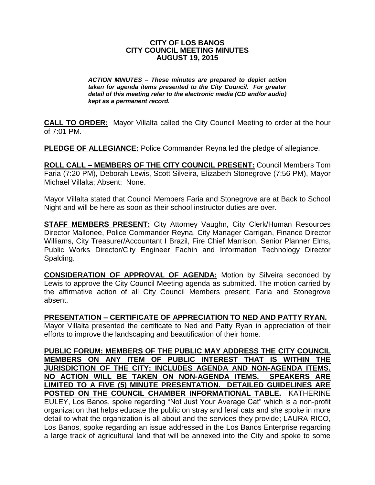## **CITY OF LOS BANOS CITY COUNCIL MEETING MINUTES AUGUST 19, 2015**

*ACTION MINUTES – These minutes are prepared to depict action taken for agenda items presented to the City Council. For greater detail of this meeting refer to the electronic media (CD and/or audio) kept as a permanent record.*

**CALL TO ORDER:** Mayor Villalta called the City Council Meeting to order at the hour of 7:01 PM.

**PLEDGE OF ALLEGIANCE:** Police Commander Reyna led the pledge of allegiance.

**ROLL CALL – MEMBERS OF THE CITY COUNCIL PRESENT:** Council Members Tom Faria (7:20 PM), Deborah Lewis, Scott Silveira, Elizabeth Stonegrove (7:56 PM), Mayor Michael Villalta; Absent: None.

Mayor Villalta stated that Council Members Faria and Stonegrove are at Back to School Night and will be here as soon as their school instructor duties are over.

**STAFF MEMBERS PRESENT:** City Attorney Vaughn, City Clerk/Human Resources Director Mallonee, Police Commander Reyna, City Manager Carrigan, Finance Director Williams, City Treasurer/Accountant I Brazil, Fire Chief Marrison, Senior Planner Elms, Public Works Director/City Engineer Fachin and Information Technology Director Spalding.

**CONSIDERATION OF APPROVAL OF AGENDA:** Motion by Silveira seconded by Lewis to approve the City Council Meeting agenda as submitted. The motion carried by the affirmative action of all City Council Members present; Faria and Stonegrove absent.

**PRESENTATION – CERTIFICATE OF APPRECIATION TO NED AND PATTY RYAN.**

Mayor Villalta presented the certificate to Ned and Patty Ryan in appreciation of their efforts to improve the landscaping and beautification of their home.

**PUBLIC FORUM: MEMBERS OF THE PUBLIC MAY ADDRESS THE CITY COUNCIL MEMBERS ON ANY ITEM OF PUBLIC INTEREST THAT IS WITHIN THE JURISDICTION OF THE CITY; INCLUDES AGENDA AND NON-AGENDA ITEMS. NO ACTION WILL BE TAKEN ON NON-AGENDA ITEMS. SPEAKERS ARE LIMITED TO A FIVE (5) MINUTE PRESENTATION. DETAILED GUIDELINES ARE POSTED ON THE COUNCIL CHAMBER INFORMATIONAL TABLE.** KATHERINE EULEY, Los Banos, spoke regarding "Not Just Your Average Cat" which is a non-profit organization that helps educate the public on stray and feral cats and she spoke in more detail to what the organization is all about and the services they provide; LAURA RICO, Los Banos, spoke regarding an issue addressed in the Los Banos Enterprise regarding a large track of agricultural land that will be annexed into the City and spoke to some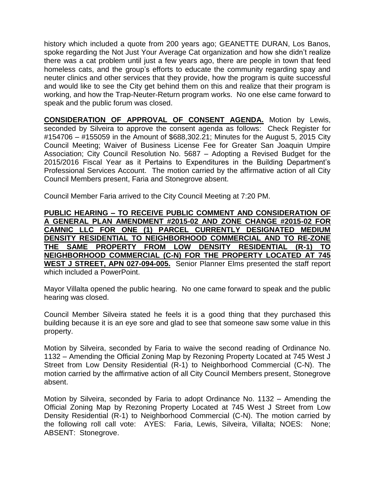history which included a quote from 200 years ago; GEANETTE DURAN, Los Banos, spoke regarding the Not Just Your Average Cat organization and how she didn't realize there was a cat problem until just a few years ago, there are people in town that feed homeless cats, and the group's efforts to educate the community regarding spay and neuter clinics and other services that they provide, how the program is quite successful and would like to see the City get behind them on this and realize that their program is working, and how the Trap-Neuter-Return program works. No one else came forward to speak and the public forum was closed.

**CONSIDERATION OF APPROVAL OF CONSENT AGENDA.** Motion by Lewis, seconded by Silveira to approve the consent agenda as follows: Check Register for #154706 – #155059 in the Amount of \$688,302.21; Minutes for the August 5, 2015 City Council Meeting; Waiver of Business License Fee for Greater San Joaquin Umpire Association; City Council Resolution No. 5687 – Adopting a Revised Budget for the 2015/2016 Fiscal Year as it Pertains to Expenditures in the Building Department's Professional Services Account. The motion carried by the affirmative action of all City Council Members present, Faria and Stonegrove absent.

Council Member Faria arrived to the City Council Meeting at 7:20 PM.

**PUBLIC HEARING – TO RECEIVE PUBLIC COMMENT AND CONSIDERATION OF A GENERAL PLAN AMENDMENT #2015-02 AND ZONE CHANGE #2015-02 FOR CAMNIC LLC FOR ONE (1) PARCEL CURRENTLY DESIGNATED MEDIUM DENSITY RESIDENTIAL TO NEIGHBORHOOD COMMERCIAL AND TO RE-ZONE THE SAME PROPERTY FROM LOW DENSITY RESIDENTIAL (R-1) TO NEIGHBORHOOD COMMERCIAL (C-N) FOR THE PROPERTY LOCATED AT 745 WEST J STREET, APN 027-094-005.** Senior Planner Elms presented the staff report which included a PowerPoint.

Mayor Villalta opened the public hearing. No one came forward to speak and the public hearing was closed.

Council Member Silveira stated he feels it is a good thing that they purchased this building because it is an eye sore and glad to see that someone saw some value in this property.

Motion by Silveira, seconded by Faria to waive the second reading of Ordinance No. 1132 – Amending the Official Zoning Map by Rezoning Property Located at 745 West J Street from Low Density Residential (R-1) to Neighborhood Commercial (C-N). The motion carried by the affirmative action of all City Council Members present, Stonegrove absent.

Motion by Silveira, seconded by Faria to adopt Ordinance No. 1132 – Amending the Official Zoning Map by Rezoning Property Located at 745 West J Street from Low Density Residential (R-1) to Neighborhood Commercial (C-N). The motion carried by the following roll call vote: AYES: Faria, Lewis, Silveira, Villalta; NOES: None; ABSENT: Stonegrove.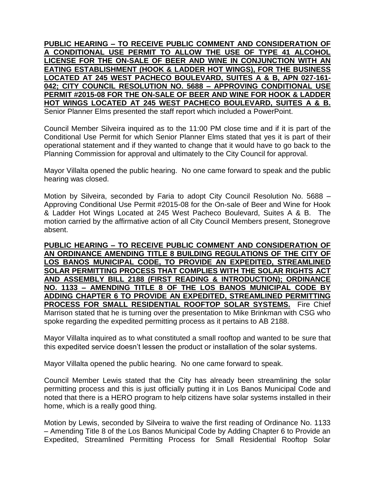**PUBLIC HEARING – TO RECEIVE PUBLIC COMMENT AND CONSIDERATION OF A CONDITIONAL USE PERMIT TO ALLOW THE USE OF TYPE 41 ALCOHOL LICENSE FOR THE ON-SALE OF BEER AND WINE IN CONJUNCTION WITH AN EATING ESTABLISHMENT (HOOK & LADDER HOT WINGS), FOR THE BUSINESS LOCATED AT 245 WEST PACHECO BOULEVARD, SUITES A & B, APN 027-161- 042; CITY COUNCIL RESOLUTION NO. 5688 – APPROVING CONDITIONAL USE PERMIT #2015-08 FOR THE ON-SALE OF BEER AND WINE FOR HOOK & LADDER HOT WINGS LOCATED AT 245 WEST PACHECO BOULEVARD, SUITES A & B.** Senior Planner Elms presented the staff report which included a PowerPoint.

Council Member Silveira inquired as to the 11:00 PM close time and if it is part of the Conditional Use Permit for which Senior Planner Elms stated that yes it is part of their operational statement and if they wanted to change that it would have to go back to the Planning Commission for approval and ultimately to the City Council for approval.

Mayor Villalta opened the public hearing. No one came forward to speak and the public hearing was closed.

Motion by Silveira, seconded by Faria to adopt City Council Resolution No. 5688 – Approving Conditional Use Permit #2015-08 for the On-sale of Beer and Wine for Hook & Ladder Hot Wings Located at 245 West Pacheco Boulevard, Suites A & B. The motion carried by the affirmative action of all City Council Members present, Stonegrove absent.

**PUBLIC HEARING – TO RECEIVE PUBLIC COMMENT AND CONSIDERATION OF AN ORDINANCE AMENDING TITLE 8 BUILDING REGULATIONS OF THE CITY OF LOS BANOS MUNICIPAL CODE, TO PROVIDE AN EXPEDITED, STREAMLINED SOLAR PERMITTING PROCESS THAT COMPLIES WITH THE SOLAR RIGHTS ACT AND ASSEMBLY BILL 2188 (FIRST READING & INTRODUCTION); ORDINANCE NO. 1133 – AMENDING TITLE 8 OF THE LOS BANOS MUNICIPAL CODE BY ADDING CHAPTER 6 TO PROVIDE AN EXPEDITED, STREAMLINED PERMITTING PROCESS FOR SMALL RESIDENTIAL ROOFTOP SOLAR SYSTEMS.** Fire Chief Marrison stated that he is turning over the presentation to Mike Brinkman with CSG who spoke regarding the expedited permitting process as it pertains to AB 2188.

Mayor Villalta inquired as to what constituted a small rooftop and wanted to be sure that this expedited service doesn't lessen the product or installation of the solar systems.

Mayor Villalta opened the public hearing. No one came forward to speak.

Council Member Lewis stated that the City has already been streamlining the solar permitting process and this is just officially putting it in Los Banos Municipal Code and noted that there is a HERO program to help citizens have solar systems installed in their home, which is a really good thing.

Motion by Lewis, seconded by Silveira to waive the first reading of Ordinance No. 1133 – Amending Title 8 of the Los Banos Municipal Code by Adding Chapter 6 to Provide an Expedited, Streamlined Permitting Process for Small Residential Rooftop Solar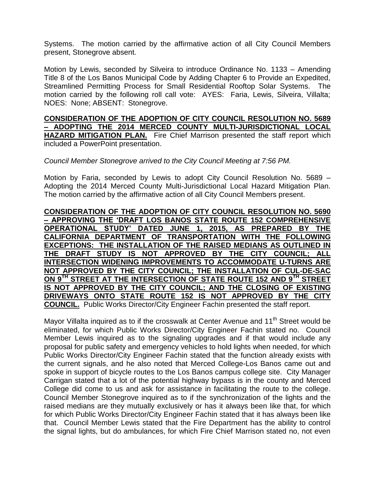Systems. The motion carried by the affirmative action of all City Council Members present, Stonegrove absent.

Motion by Lewis, seconded by Silveira to introduce Ordinance No. 1133 – Amending Title 8 of the Los Banos Municipal Code by Adding Chapter 6 to Provide an Expedited, Streamlined Permitting Process for Small Residential Rooftop Solar Systems. The motion carried by the following roll call vote: AYES: Faria, Lewis, Silveira, Villalta; NOES: None; ABSENT: Stonegrove.

**CONSIDERATION OF THE ADOPTION OF CITY COUNCIL RESOLUTION NO. 5689 – ADOPTING THE 2014 MERCED COUNTY MULTI-JURISDICTIONAL LOCAL HAZARD MITIGATION PLAN.** Fire Chief Marrison presented the staff report which included a PowerPoint presentation.

*Council Member Stonegrove arrived to the City Council Meeting at 7:56 PM.*

Motion by Faria, seconded by Lewis to adopt City Council Resolution No. 5689 – Adopting the 2014 Merced County Multi-Jurisdictional Local Hazard Mitigation Plan. The motion carried by the affirmative action of all City Council Members present.

**CONSIDERATION OF THE ADOPTION OF CITY COUNCIL RESOLUTION NO. 5690 – APPROVING THE 'DRAFT LOS BANOS STATE ROUTE 152 COMPREHENSIVE OPERATIONAL STUDY' DATED JUNE 1, 2015, AS PREPARED BY THE CALIFORNIA DEPARTMENT OF TRANSPORTATION WITH THE FOLLOWING EXCEPTIONS: THE INSTALLATION OF THE RAISED MEDIANS AS OUTLINED IN THE DRAFT STUDY IS NOT APPROVED BY THE CITY COUNCIL; ALL INTERSECTION WIDENING IMPROVEMENTS TO ACCOMMODATE U-TURNS ARE NOT APPROVED BY THE CITY COUNCIL; THE INSTALLATION OF CUL-DE-SAC ON 9TH STREET AT THE INTERSECTION OF STATE ROUTE 152 AND 9TH STREET IS NOT APPROVED BY THE CITY COUNCIL; AND THE CLOSING OF EXISTING DRIVEWAYS ONTO STATE ROUTE 152 IS NOT APPROVED BY THE CITY COUNCIL.** Public Works Director/City Engineer Fachin presented the staff report.

Mayor Villalta inquired as to if the crosswalk at Center Avenue and  $11<sup>th</sup>$  Street would be eliminated, for which Public Works Director/City Engineer Fachin stated no. Council Member Lewis inquired as to the signaling upgrades and if that would include any proposal for public safety and emergency vehicles to hold lights when needed, for which Public Works Director/City Engineer Fachin stated that the function already exists with the current signals, and he also noted that Merced College-Los Banos came out and spoke in support of bicycle routes to the Los Banos campus college site. City Manager Carrigan stated that a lot of the potential highway bypass is in the county and Merced College did come to us and ask for assistance in facilitating the route to the college. Council Member Stonegrove inquired as to if the synchronization of the lights and the raised medians are they mutually exclusively or has it always been like that, for which for which Public Works Director/City Engineer Fachin stated that it has always been like that. Council Member Lewis stated that the Fire Department has the ability to control the signal lights, but do ambulances, for which Fire Chief Marrison stated no, not even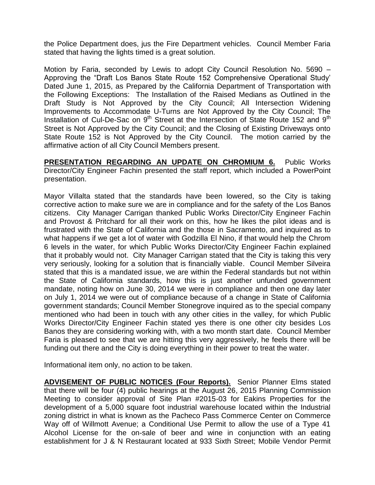the Police Department does, jus the Fire Department vehicles. Council Member Faria stated that having the lights timed is a great solution.

Motion by Faria, seconded by Lewis to adopt City Council Resolution No. 5690 – Approving the "Draft Los Banos State Route 152 Comprehensive Operational Study' Dated June 1, 2015, as Prepared by the California Department of Transportation with the Following Exceptions: The Installation of the Raised Medians as Outlined in the Draft Study is Not Approved by the City Council; All Intersection Widening Improvements to Accommodate U-Turns are Not Approved by the City Council; The Installation of Cul-De-Sac on 9<sup>th</sup> Street at the Intersection of State Route 152 and 9<sup>th</sup> Street is Not Approved by the City Council; and the Closing of Existing Driveways onto State Route 152 is Not Approved by the City Council. The motion carried by the affirmative action of all City Council Members present.

**PRESENTATION REGARDING AN UPDATE ON CHROMIUM 6.** Public Works Director/City Engineer Fachin presented the staff report, which included a PowerPoint presentation.

Mayor Villalta stated that the standards have been lowered, so the City is taking corrective action to make sure we are in compliance and for the safety of the Los Banos citizens. City Manager Carrigan thanked Public Works Director/City Engineer Fachin and Provost & Pritchard for all their work on this, how he likes the pilot ideas and is frustrated with the State of California and the those in Sacramento, and inquired as to what happens if we get a lot of water with Godzilla El Nino, if that would help the Chrom 6 levels in the water, for which Public Works Director/City Engineer Fachin explained that it probably would not. City Manager Carrigan stated that the City is taking this very very seriously, looking for a solution that is financially viable. Council Member Silveira stated that this is a mandated issue, we are within the Federal standards but not within the State of California standards, how this is just another unfunded government mandate, noting how on June 30, 2014 we were in compliance and then one day later on July 1, 2014 we were out of compliance because of a change in State of California government standards; Council Member Stonegrove inquired as to the special company mentioned who had been in touch with any other cities in the valley, for which Public Works Director/City Engineer Fachin stated yes there is one other city besides Los Banos they are considering working with, with a two month start date. Council Member Faria is pleased to see that we are hitting this very aggressively, he feels there will be funding out there and the City is doing everything in their power to treat the water.

Informational item only, no action to be taken.

**ADVISEMENT OF PUBLIC NOTICES (Four Reports).** Senior Planner Elms stated that there will be four (4) public hearings at the August 26, 2015 Planning Commission Meeting to consider approval of Site Plan #2015-03 for Eakins Properties for the development of a 5,000 square foot industrial warehouse located within the Industrial zoning district in what is known as the Pacheco Pass Commerce Center on Commerce Way off of Willmott Avenue; a Conditional Use Permit to allow the use of a Type 41 Alcohol License for the on-sale of beer and wine in conjunction with an eating establishment for J & N Restaurant located at 933 Sixth Street; Mobile Vendor Permit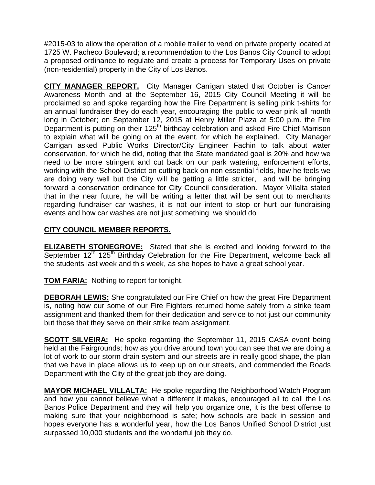#2015-03 to allow the operation of a mobile trailer to vend on private property located at 1725 W. Pacheco Boulevard; a recommendation to the Los Banos City Council to adopt a proposed ordinance to regulate and create a process for Temporary Uses on private (non-residential) property in the City of Los Banos.

**CITY MANAGER REPORT.** City Manager Carrigan stated that October is Cancer Awareness Month and at the September 16, 2015 City Council Meeting it will be proclaimed so and spoke regarding how the Fire Department is selling pink t-shirts for an annual fundraiser they do each year, encouraging the public to wear pink all month long in October; on September 12, 2015 at Henry Miller Plaza at 5:00 p.m. the Fire Department is putting on their 125<sup>th</sup> birthday celebration and asked Fire Chief Marrison to explain what will be going on at the event, for which he explained. City Manager Carrigan asked Public Works Director/City Engineer Fachin to talk about water conservation, for which he did, noting that the State mandated goal is 20% and how we need to be more stringent and cut back on our park watering, enforcement efforts, working with the School District on cutting back on non essential fields, how he feels we are doing very well but the City will be getting a little stricter, and will be bringing forward a conservation ordinance for City Council consideration. Mayor Villalta stated that in the near future, he will be writing a letter that will be sent out to merchants regarding fundraiser car washes, it is not our intent to stop or hurt our fundraising events and how car washes are not just something we should do

## **CITY COUNCIL MEMBER REPORTS.**

**ELIZABETH STONEGROVE:** Stated that she is excited and looking forward to the September 12<sup>th</sup> 125<sup>th</sup> Birthday Celebration for the Fire Department, welcome back all the students last week and this week, as she hopes to have a great school year.

**TOM FARIA:** Nothing to report for tonight.

**DEBORAH LEWIS:** She congratulated our Fire Chief on how the great Fire Department is, noting how our some of our Fire Fighters returned home safely from a strike team assignment and thanked them for their dedication and service to not just our community but those that they serve on their strike team assignment.

**SCOTT SILVEIRA:** He spoke regarding the September 11, 2015 CASA event being held at the Fairgrounds; how as you drive around town you can see that we are doing a lot of work to our storm drain system and our streets are in really good shape, the plan that we have in place allows us to keep up on our streets, and commended the Roads Department with the City of the great job they are doing.

**MAYOR MICHAEL VILLALTA:** He spoke regarding the Neighborhood Watch Program and how you cannot believe what a different it makes, encouraged all to call the Los Banos Police Department and they will help you organize one, it is the best offense to making sure that your neighborhood is safe; how schools are back in session and hopes everyone has a wonderful year, how the Los Banos Unified School District just surpassed 10,000 students and the wonderful job they do.